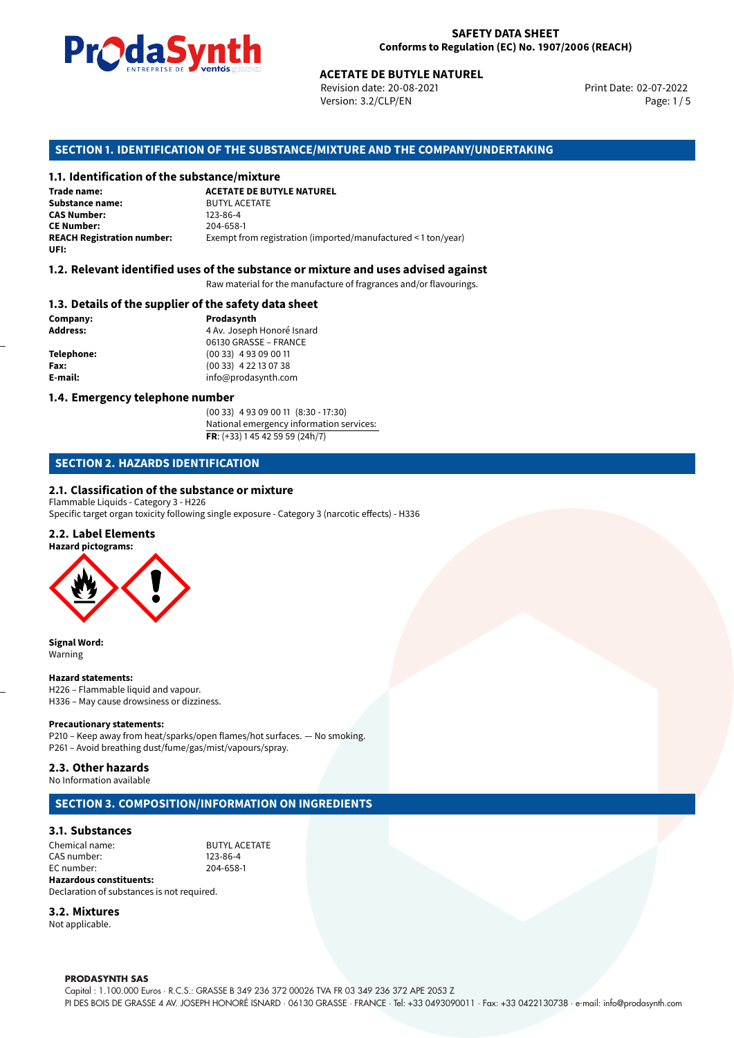

Revision date: 20-08-2021 Version: 3.2/CLP/EN Page: 1 / 5

Print Date: 02-07-2022

# **ACETATE DE BUTYLE NATUREL<br>
Revision date: 20-08-2021<br>
Version: 3.2/CLP/EN<br>
<b>OF THE SUBSTANCE/MIXTURE AND THE COMPANY/U**<br> **tance/mixture**<br>
ACETATE DE BUTYLE NATUREL **SECTION 1. IDENTIFICATION OF THE SUBSTANCE/MIXTURE AND THE COMPANY/UNDERTAKING**

#### **1.1. Identification of the substance/mixture**

**Trade name: Substance name:** BUTYL ACETATE<br>**CAS Number:** 123-86-4 **CAS Number: CE Number:** 204-658-1<br>**REACH Registration number:** Exempt from Exempt from registration (imported/manufactured < 1 ton/year) **UFI:**

#### **1.2. Relevant identified uses of the substance or mixture and uses advised against**

Raw material for the manufacture of fragrances and/or flavourings.

#### **1.3. Details of the supplier of the safety data sheet**

**Company: Prodasynth Prodasynth Address:** 4 Av. Joseph **Telephone:** (00 33) 4 93 09 00 11 **Fax:** (00 33) 4 22 13 07 38 **E-mail:** info@prodasynth.com

**Address:** 4 Av. Joseph Honoré Isnard 06130 GRASSE – FRANCE

#### **1.4. Emergency telephone number**

(00 33) 4 93 09 00 11 (8:30 - 17:30) National emergency information services: **FR**: (+33) 1 45 42 59 59 (24h/7)

#### **SECTION 2. HAZARDS IDENTIFICATION**

#### **2.1. Classification of the substance or mixture**

Flammable Liquids - Category 3 - H226

Specific target organ toxicity following single exposure - Category 3 (narcotic effects) - H336

#### **2.2. Label Elements**



**Signal Word:** Warning

#### **Hazard statements:**

H226 – Flammable liquid and vapour. H336 – May cause drowsiness or dizziness.

#### **Precautionary statements:**

P210 – Keep away from heat/sparks/open flames/hot surfaces. — No smoking. P261 – Avoid breathing dust/fume/gas/mist/vapours/spray.

#### **2.3. Other hazards**

No Information available

#### **SECTION 3. COMPOSITION/INFORMATION ON INGREDIENTS**

#### **3.1. Substances**

Chemical name: BUTYL ACETATE CAS number: 123-86-4<br>EC number: 204-658-1 EC number: **Hazardous constituents:**

Declaration of substances is not required.

#### **3.2. Mixtures**

Not applicable.

#### **PRODASYNTH SAS**

Capital : 1.100.000 Euros · R.C.S.: GRASSE B 349 236 372 00026 TVA FR 03 349 236 372 APE 2053 Z PI DES BOIS DE GRASSE 4 AV. JOSEPH HONORÉ ISNARD · 06130 GRASSE · FRANCE · Tel: +33 0493090011 · Fax: +33 0422130738 · e-mail: info@prodasynth.com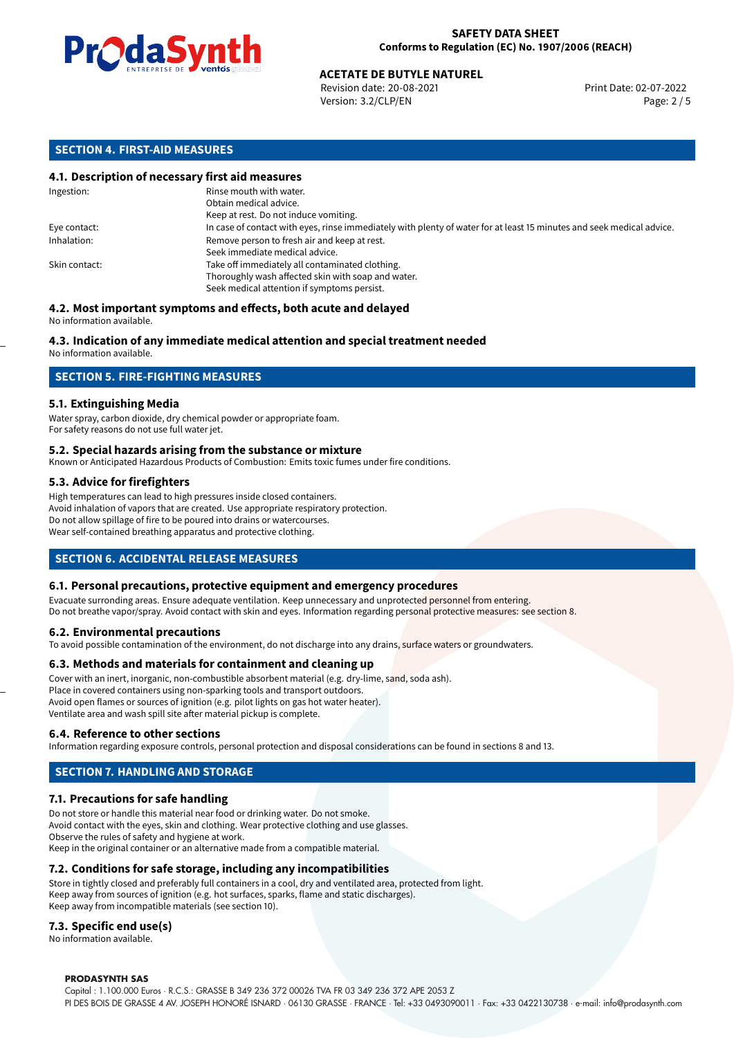

Revision date: 20-08-2021 Version: 3.2/CLP/EN Page: 2 / 5

#### **SECTION 4. FIRST-AID MEASURES**

#### **4.1. Description of necessary first aid measures**

| Ingestion:    | Rinse mouth with water.<br>Obtain medical advice.                                                                     |
|---------------|-----------------------------------------------------------------------------------------------------------------------|
|               | Keep at rest. Do not induce vomiting.                                                                                 |
| Eye contact:  | In case of contact with eyes, rinse immediately with plenty of water for at least 15 minutes and seek medical advice. |
| Inhalation:   | Remove person to fresh air and keep at rest.                                                                          |
|               | Seek immediate medical advice.                                                                                        |
| Skin contact: | Take off immediately all contaminated clothing.                                                                       |
|               | Thoroughly wash affected skin with soap and water.                                                                    |
|               | Seek medical attention if symptoms persist.                                                                           |

#### **4.2. Most important symptoms and effects, both acute and delayed** No information available.

### **4.3. Indication of any immediate medical attention and special treatment needed**

No information available.

#### **SECTION 5. FIRE-FIGHTING MEASURES**

#### **5.1. Extinguishing Media**

Water spray, carbon dioxide, dry chemical powder or appropriate foam. For safety reasons do not use full water jet.

#### **5.2. Special hazards arising from the substance or mixture**

Known or Anticipated Hazardous Products of Combustion: Emits toxic fumes under fire conditions.

#### **5.3. Advice for firefighters**

High temperatures can lead to high pressures inside closed containers. Avoid inhalation of vapors that are created. Use appropriate respiratory protection. Do not allow spillage of fire to be poured into drains or watercourses. Wear self-contained breathing apparatus and protective clothing.

#### **SECTION 6. ACCIDENTAL RELEASE MEASURES**

#### **6.1. Personal precautions, protective equipment and emergency procedures**

Evacuate surronding areas. Ensure adequate ventilation. Keep unnecessary and unprotected personnel from entering. Do not breathe vapor/spray. Avoid contact with skin and eyes. Information regarding personal protective measures: see section 8.

#### **6.2. Environmental precautions**

To avoid possible contamination of the environment, do not discharge into any drains, surface waters or groundwaters.

#### **6.3. Methods and materials for containment and cleaning up**

Cover with an inert, inorganic, non-combustible absorbent material (e.g. dry-lime, sand, soda ash). Place in covered containers using non-sparking tools and transport outdoors. Avoid open flames or sources of ignition (e.g. pilot lights on gas hot water heater). Ventilate area and wash spill site after material pickup is complete.

#### **6.4. Reference to other sections**

Information regarding exposure controls, personal protection and disposal considerations can be found in sections 8 and 13.

#### **SECTION 7. HANDLING AND STORAGE**

#### **7.1. Precautions for safe handling**

Do not store or handle this material near food or drinking water. Do not smoke. Avoid contact with the eyes, skin and clothing. Wear protective clothing and use glasses. Observe the rules of safety and hygiene at work. Keep in the original container or an alternative made from a compatible material.

#### **7.2. Conditions for safe storage, including any incompatibilities**

Store in tightly closed and preferably full containers in a cool, dry and ventilated area, protected from light. Keep away from sources of ignition (e.g. hot surfaces, sparks, flame and static discharges). Keep away from incompatible materials (see section 10).

#### **7.3. Specific end use(s)**

No information available.

#### **PRODASYNTH SAS**

Capital : 1.100.000 Euros · R.C.S.: GRASSE B 349 236 372 00026 TVA FR 03 349 236 372 APE 2053 Z PI DES BOIS DE GRASSE 4 AV. JOSEPH HONORÉ ISNARD · 06130 GRASSE · FRANCE · Tel: +33 0493090011 · Fax: +33 0422130738 · e-mail: info@prodasynth.com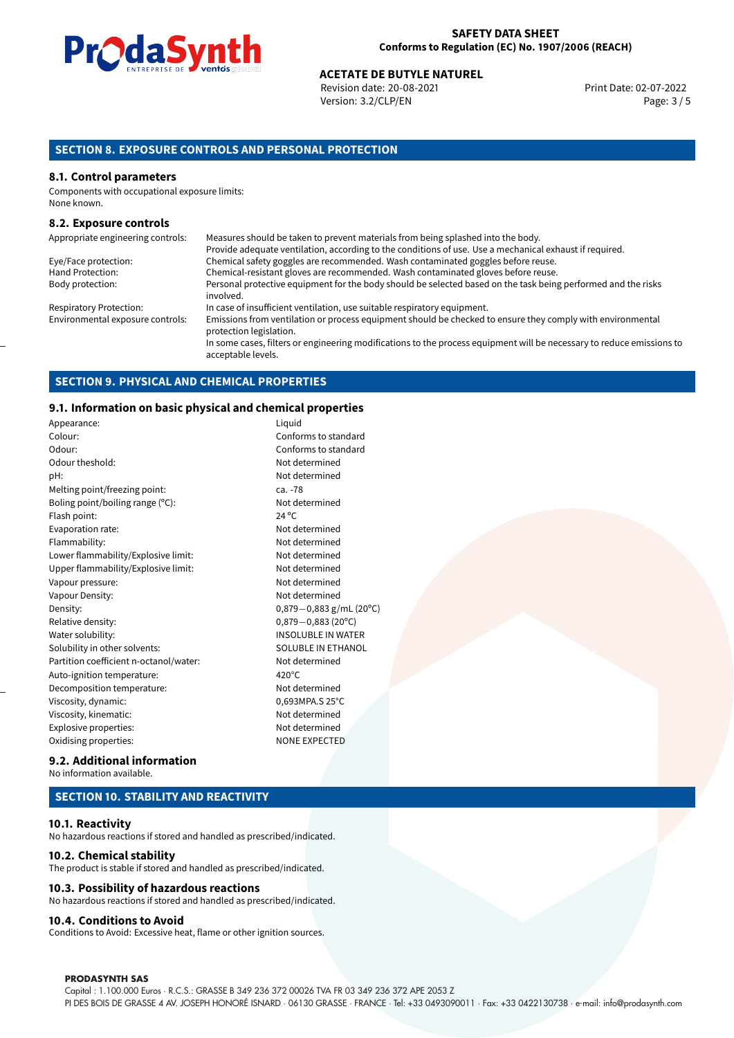

Revision date: 20-08-2021 Version: 3.2/CLP/EN Page: 3 / 5

#### **SECTION 8. EXPOSURE CONTROLS AND PERSONAL PROTECTION**

#### **8.1. Control parameters**

Components with occupational exposure limits: None known.

#### **8.2. Exposure controls**

| Appropriate engineering controls: | Measures should be taken to prevent materials from being splashed into the body.                                                            |
|-----------------------------------|---------------------------------------------------------------------------------------------------------------------------------------------|
|                                   | Provide adequate ventilation, according to the conditions of use. Use a mechanical exhaust if required.                                     |
| Eye/Face protection:              | Chemical safety goggles are recommended. Wash contaminated goggles before reuse.                                                            |
| Hand Protection:                  | Chemical-resistant gloves are recommended. Wash contaminated gloves before reuse.                                                           |
| Body protection:                  | Personal protective equipment for the body should be selected based on the task being performed and the risks<br>involved.                  |
| <b>Respiratory Protection:</b>    | In case of insufficient ventilation, use suitable respiratory equipment.                                                                    |
| Environmental exposure controls:  | Emissions from ventilation or process equipment should be checked to ensure they comply with environmental<br>protection legislation.       |
|                                   | In some cases, filters or engineering modifications to the process equipment will be necessary to reduce emissions to<br>acceptable levels. |

#### **SECTION 9. PHYSICAL AND CHEMICAL PROPERTIES**

#### **9.1. Information on basic physical and chemical properties**

| Appearance:                            | Liquid          |
|----------------------------------------|-----------------|
| Colour:                                | Confor          |
| Odour:                                 | Confor          |
| Odour theshold:                        | Not de          |
| pH:                                    | Not de          |
| Melting point/freezing point:          | ca. -78         |
| Boling point/boiling range (°C):       | Not de          |
| Flash point:                           | 24 °C           |
| Evaporation rate:                      | Not de          |
| Flammability:                          | Not de          |
| Lower flammability/Explosive limit:    | Not de          |
| Upper flammability/Explosive limit:    | Not de          |
| Vapour pressure:                       | Not de          |
| Vapour Density:                        | Not de          |
| Density:                               | $0,879-$        |
| Relative density:                      | $0,879-$        |
| Water solubility:                      | <b>INSOL</b>    |
| Solubility in other solvents:          | <b>SOLUE</b>    |
| Partition coefficient n-octanol/water: | Not de          |
| Auto-ignition temperature:             | $420^{\circ}$ C |
| Decomposition temperature:             | Not de          |
| Viscosity, dynamic:                    | 0,693M          |
| Viscosity, kinematic:                  | Not de          |
| Explosive properties:                  | Not de          |
| Oxidising properties:                  | <b>NONE</b>     |

Not determined Not determined Not determined Not determined Not determined Not determined Not determined Not determined Not determined Density: 0,879*−*0,883 g/mL (20ºC) Relative density: 0,879*−*0,883 (20ºC) INSOLUBLE IN WATER SOLUBLE IN ETHANOL Not determined Not determined 0,693MPA.S 25°C Not determined Not determined NONE EXPECTED

Conforms to standard Conforms to standard

#### **9.2. Additional information** No information available.

#### **SECTION 10. STABILITY AND REACTIVITY**

#### **10.1. Reactivity**

No hazardous reactions if stored and handled as prescribed/indicated.

#### **10.2. Chemical stability**

The product is stable if stored and handled as prescribed/indicated.

#### **10.3. Possibility of hazardous reactions**

No hazardous reactions if stored and handled as prescribed/indicated.

#### **10.4. Conditions to Avoid**

Conditions to Avoid: Excessive heat, flame or other ignition sources.

#### **PRODASYNTH SAS**

Capital : 1.100.000 Euros · R.C.S.: GRASSE B 349 236 372 00026 TVA FR 03 349 236 372 APE 2053 Z PI DES BOIS DE GRASSE 4 AV. JOSEPH HONORÉ ISNARD · 06130 GRASSE · FRANCE · Tel: +33 0493090011 · Fax: +33 0422130738 · e-mail: info@prodasynth.com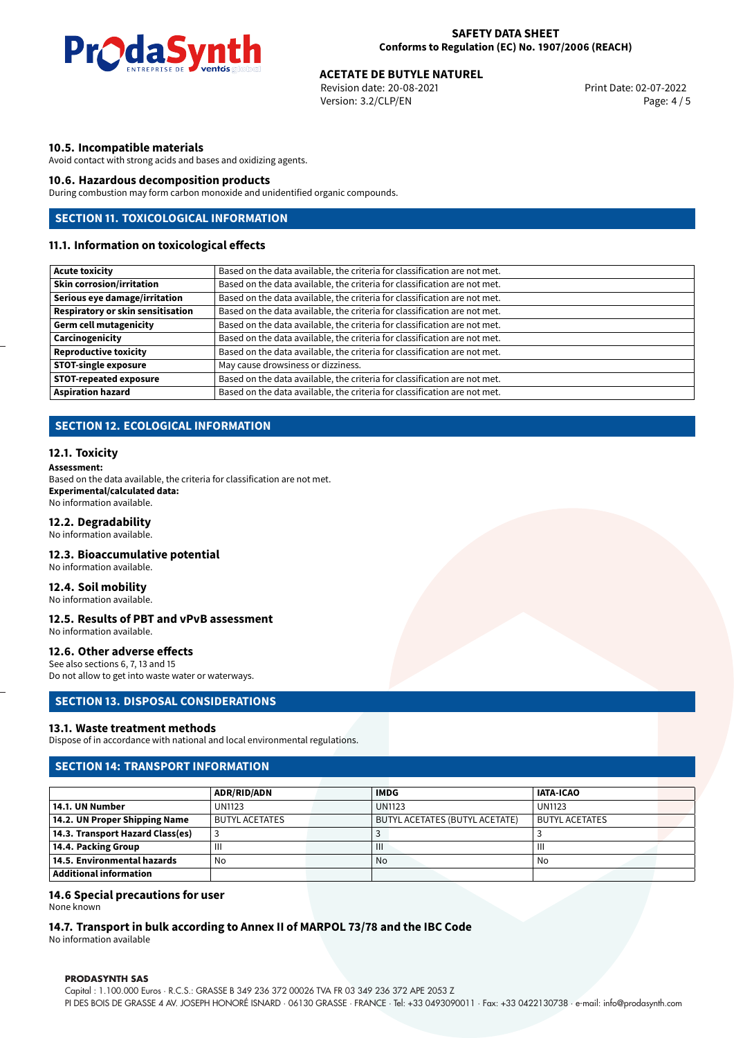

Revision date: 20-08-2021 Version: 3.2/CLP/EN Page: 4 / 5

#### **10.5. Incompatible materials**

Avoid contact with strong acids and bases and oxidizing agents.

#### **10.6. Hazardous decomposition products**

During combustion may form carbon monoxide and unidentified organic compounds.

#### **SECTION 11. TOXICOLOGICAL INFORMATION**

#### **11.1. Information on toxicological effects**

| <b>Acute toxicity</b>             | Based on the data available, the criteria for classification are not met. |  |  |  |  |
|-----------------------------------|---------------------------------------------------------------------------|--|--|--|--|
| <b>Skin corrosion/irritation</b>  | Based on the data available, the criteria for classification are not met. |  |  |  |  |
| Serious eye damage/irritation     | Based on the data available, the criteria for classification are not met. |  |  |  |  |
| Respiratory or skin sensitisation | Based on the data available, the criteria for classification are not met. |  |  |  |  |
| <b>Germ cell mutagenicity</b>     | Based on the data available, the criteria for classification are not met. |  |  |  |  |
| Carcinogenicity                   | Based on the data available, the criteria for classification are not met. |  |  |  |  |
| <b>Reproductive toxicity</b>      | Based on the data available, the criteria for classification are not met. |  |  |  |  |
| <b>STOT-single exposure</b>       | May cause drowsiness or dizziness.                                        |  |  |  |  |
| <b>STOT-repeated exposure</b>     | Based on the data available, the criteria for classification are not met. |  |  |  |  |
| <b>Aspiration hazard</b>          | Based on the data available, the criteria for classification are not met. |  |  |  |  |
|                                   |                                                                           |  |  |  |  |

#### **SECTION 12. ECOLOGICAL INFORMATION**

#### **12.1. Toxicity**

**Assessment:** Based on the data available, the criteria for classification are not met. **Experimental/calculated data:** No information available.

#### **12.2. Degradability**

No information available.

#### **12.3. Bioaccumulative potential**

No information available.

#### **12.4. Soil mobility**

No information available.

#### **12.5. Results of PBT and vPvB assessment**

No information available.

#### **12.6. Other adverse effects**

See also sections 6, 7, 13 and 15 Do not allow to get into waste water or waterways.

#### **SECTION 13. DISPOSAL CONSIDERATIONS**

#### **13.1. Waste treatment methods**

Dispose of in accordance with national and local environmental regulations.

#### **SECTION 14: TRANSPORT INFORMATION**

|                                  | ADR/RID/ADN           |  | <b>IMDG</b>                           | <b>IATA-ICAO</b>      |  |  |
|----------------------------------|-----------------------|--|---------------------------------------|-----------------------|--|--|
| 14.1. UN Number                  | <b>UN1123</b>         |  | <b>UN1123</b>                         | <b>UN1123</b>         |  |  |
| 14.2. UN Proper Shipping Name    | <b>BUTYL ACETATES</b> |  | <b>BUTYL ACETATES (BUTYL ACETATE)</b> | <b>BUTYL ACETATES</b> |  |  |
| 14.3. Transport Hazard Class(es) |                       |  |                                       |                       |  |  |
| 14.4. Packing Group              | Ш                     |  | $\mathbf{III}$                        |                       |  |  |
| 14.5. Environmental hazards      | No                    |  | No.                                   | No                    |  |  |
| Additional information           |                       |  |                                       |                       |  |  |

#### **14.6 Special precautions for user**

None known

#### **14.7. Transport in bulk according to Annex II of MARPOL 73/78 and the IBC Code**

No information available

#### **PRODASYNTH SAS**